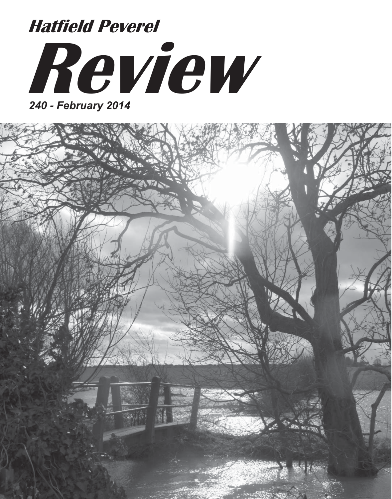# **Review Hatfield Peverel**

*240 - February 2014*

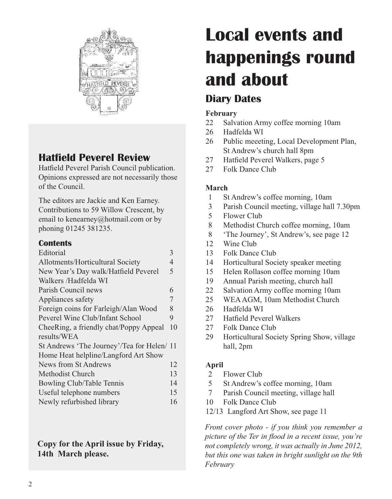

## **Hatfield Peverel Review**

Hatfield Peverel Parish Council publication. Opinions expressed are not necessarily those of the Council.

The editors are Jackie and Ken Earney. Contributions to 59 Willow Crescent, by email to kenearney@hotmail.com or by phoning 01245 381235.

### **Contents**

| 3                                          |
|--------------------------------------------|
| 4                                          |
| 5                                          |
|                                            |
| 6                                          |
| 7                                          |
| 8                                          |
| 9                                          |
| 10                                         |
|                                            |
| St Andrews 'The Journey'/Tea for Helen/ 11 |
|                                            |
| 12                                         |
| 13                                         |
| 14                                         |
| 15                                         |
| 16                                         |
|                                            |

**Copy for the April issue by Friday, 14th March please.**

# **Local events and happenings round and about**

## **Diary Dates**

#### **February**

- 22 Salvation Army coffee morning 10am
- 26 Hadfelda WI
- 26 Public meeeting, Local Development Plan, St Andrew's church hall 8pm
- 27 Hatfield Peverel Walkers, page 5
- 27 Folk Dance Club

### **March**

- 1 St Andrew's coffee morning, 10am
- 3 Parish Council meeting, village hall 7.30pm
- 5 Flower Club
- 8 Methodist Church coffee morning, 10am
- 8 'The Journey', St Andrew's, see page 12
- 12 Wine Club
- 13 Folk Dance Club
- 14 Horticultural Society speaker meeting
- 15 Helen Rollason coffee morning 10am
- 19 Annual Parish meeting, church hall
- 22 Salvation Army coffee morning 10am
- 25 WEA AGM, 10am Methodist Church
- 26 Hadfelda WI
- 27 Hatfield Peverel Walkers
- 27 Folk Dance Club
- 29 Horticultural Society Spring Show, village hall, 2pm

## **April**

- 2 Flower Club
- 5 St Andrew's coffee morning, 10am
- 7 Parish Council meeting, village hall
- 10 Folk Dance Club
- 12/13 Langford Art Show, see page 11

*Front cover photo - if you think you remember a picture of the Ter in flood in a recent issue, you're not completely wrong, it was actually in June 2012, but this one was taken in bright sunlight on the 9th February*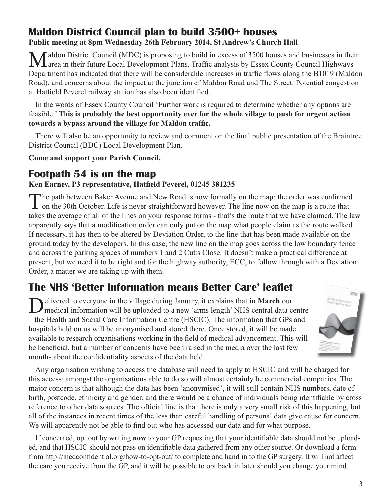## **Maldon District Council plan to build 3500+ houses Public meeting at 8pm Wednesday 26th February 2014, St Andrew's Church Hall**

Maldon District Council (MDC) is proposing to build in excess of 3500 houses and businesses in their future Local Development Plans. Traffic analysis by Essex County Council Highways Department has indicated that there will be considerable increases in traffic flows along the B1019 (Maldon Road), and concerns about the impact at the junction of Maldon Road and The Street. Potential congestion at Hatfield Peverel railway station has also been identified.

In the words of Essex County Council 'Further work is required to determine whether any options are feasible.' **This is probably the best opportunity ever for the whole village to push for urgent action towards a bypass around the village for Maldon traffic.**

There will also be an opportunity to review and comment on the final public presentation of the Braintree District Council (BDC) Local Development Plan.

**Come and support your Parish Council.**

## **Footpath 54 is on the map**

#### **Ken Earney, P3 representative, Hatfield Peverel, 01245 381235**

The path between Baker Avenue and New Road is now formally on the map: the order was confirmed<br>on the 30th October. Life is never straightforward however. The line now on the map is a route that takes the average of all of the lines on your response forms - that's the route that we have claimed. The law apparently says that a modification order can only put on the map what people claim as the route walked. If necessary, it has then to be altered by Deviation Order, to the line that has been made available on the ground today by the developers. In this case, the new line on the map goes across the low boundary fence and across the parking spaces of numbers 1 and 2 Cutts Close. It doesn't make a practical difference at present, but we need it to be right and for the highway authority, ECC, to follow through with a Deviation Order, a matter we are taking up with them.

## **The NHS 'Better Information means Better Care' leaflet**

Delivered to everyone in the village during January, it explains that **in March** our medical information will be uploaded to a new 'arms length' NHS central data centre – the Health and Social Care Information Centre (HSCIC). The information that GPs and hospitals hold on us will be anonymised and stored there. Once stored, it will be made available to research organisations working in the field of medical advancement. This will be beneficial, but a number of concerns have been raised in the media over the last few months about the confidentiality aspects of the data held.



Any organisation wishing to access the database will need to apply to HSCIC and will be charged for this access: amongst the organisations able to do so will almost certainly be commercial companies. The major concern is that although the data has been 'anonymised', it will still contain NHS numbers, date of birth, postcode, ethnicity and gender, and there would be a chance of individuals being identifiable by cross reference to other data sources. The official line is that there is only a very small risk of this happening, but all of the instances in recent times of the less than careful handling of personal data give cause for concern. We will apparently not be able to find out who has accessed our data and for what purpose.

If concerned, opt out by writing **now** to your GP requesting that your identifiable data should not be uploaded, and that HSCIC should not pass on identifiable data gathered from any other source. Or download a form from http://medconfidential.org/how-to-opt-out/ to complete and hand in to the GP surgery. It will not affect the care you receive from the GP, and it will be possible to opt back in later should you change your mind.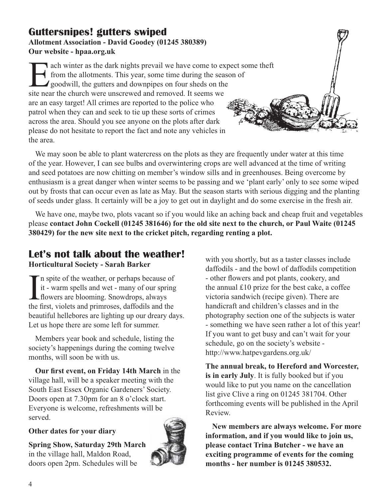## **Guttersnipes! gutters swiped Allotment Association - David Goodey (01245 380389) Our website - hpaa.org.uk**

The achievities as the dark nights prevail we have come to expect some theft<br>from the allotments. This year, some time during the season of<br>goodwill, the gutters and downpipes on four sheds on the<br>site near the church were from the allotments. This year, some time during the season of **goodwill, the gutters and downpipes on four sheds on the** site near the church were unscrewed and removed. It seems we are an easy target! All crimes are reported to the police who patrol when they can and seek to tie up these sorts of crimes across the area. Should you see anyone on the plots after dark please do not hesitate to report the fact and note any vehicles in the area.

We may soon be able to plant watercress on the plots as they are frequently under water at this time of the year. However, I can see bulbs and overwintering crops are well advanced at the time of writing and seed potatoes are now chitting on member's window sills and in greenhouses. Being overcome by enthusiasm is a great danger when winter seems to be passing and we 'plant early' only to see some wiped out by frosts that can occur even as late as May. But the season starts with serious digging and the planting of seeds under glass. It certainly will be a joy to get out in daylight and do some exercise in the fresh air.

We have one, maybe two, plots vacant so if you would like an aching back and cheap fruit and vegetables please **contact John Cockell (01245 381646) for the old site next to the church, or Paul Waite (01245 380429) for the new site next to the cricket pitch, regarding renting a plot.**

## **Let's not talk about the weather! Horticultural Society - Sarah Barker**

 $\prod_{\text{the }i}$ n spite of the weather, or perhaps because of it - warm spells and wet - many of our spring flowers are blooming. Snowdrops, always the first, violets and primroses, daffodils and the beautiful hellebores are lighting up our dreary days. Let us hope there are some left for summer.

Members year book and schedule, listing the society's happenings during the coming twelve months, will soon be with us.

**Our first event, on Friday 14th March** in the village hall, will be a speaker meeting with the South East Essex Organic Gardeners' Society. Doors open at 7.30pm for an 8 o'clock start. Everyone is welcome, refreshments will be served.

#### **Other dates for your diary**

**Spring Show, Saturday 29th March** in the village hall, Maldon Road, doors open 2pm. Schedules will be



with you shortly, but as a taster classes include daffodils - and the bowl of daffodils competition - other flowers and pot plants, cookery, and the annual £10 prize for the best cake, a coffee victoria sandwich (recipe given). There are handicraft and children's classes and in the photography section one of the subjects is water - something we have seen rather a lot of this year! If you want to get busy and can't wait for your schedule, go on the society's website http://www.hatpevgardens.org.uk/

**The annual break, to Hereford and Worcester, is in early July**. It is fully booked but if you would like to put you name on the cancellation list give Clive a ring on 01245 381704. Other forthcoming events will be published in the April Review.

**New members are always welcome. For more information, and if you would like to join us, please contact Trina Butcher - we have an exciting programme of events for the coming months - her number is 01245 380532.**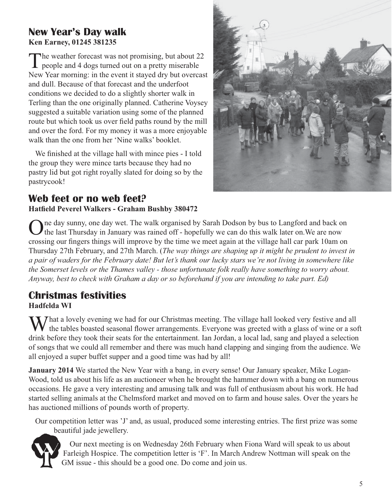## **New Year's Day walk Ken Earney, 01245 381235**

The weather forecast was not promising, but about  $22$ people and 4 dogs turned out on a pretty miserable New Year morning: in the event it stayed dry but overcast and dull. Because of that forecast and the underfoot conditions we decided to do a slightly shorter walk in Terling than the one originally planned. Catherine Voysey suggested a suitable variation using some of the planned route but which took us over field paths round by the mill and over the ford. For my money it was a more enjoyable walk than the one from her 'Nine walks' booklet.

We finished at the village hall with mince pies - I told the group they were mince tarts because they had no pastry lid but got right royally slated for doing so by the pastrycook!



## **Web feet or no web feet? Hatfield Peverel Walkers - Graham Bushby 380472**

ne day sunny, one day wet. The walk organised by Sarah Dodson by bus to Langford and back on the last Thursday in January was rained off - hopefully we can do this walk later on.We are now crossing our fingers things will improve by the time we meet again at the village hall car park 10am on Thursday 27th February, and 27th March. (*The way things are shaping up it might be prudent to invest in a pair of waders for the February date! But let's thank our lucky stars we're not living in somewhere like the Somerset levels or the Thames valley - those unfortunate folk really have something to worry about. Anyway, best to check with Graham a day or so beforehand if you are intending to take part. Ed)*

## **Christmas festivities**

**Hadfelda WI** 

 $\sum$  That a lovely evening we had for our Christmas meeting. The village hall looked very festive and all  $\blacklozenge$  the tables boasted seasonal flower arrangements. Everyone was greeted with a glass of wine or a soft drink before they took their seats for the entertainment. Ian Jordan, a local lad, sang and played a selection of songs that we could all remember and there was much hand clapping and singing from the audience. We all enjoyed a super buffet supper and a good time was had by all!

**January 2014** We started the New Year with a bang, in every sense! Our January speaker, Mike Logan-Wood, told us about his life as an auctioneer when he brought the hammer down with a bang on numerous occasions. He gave a very interesting and amusing talk and was full of enthusiasm about his work. He had started selling animals at the Chelmsford market and moved on to farm and house sales. Over the years he has auctioned millions of pounds worth of property.

Our competition letter was 'J' and, as usual, produced some interesting entries. The first prize was some beautiful jade jewellery.



Our next meeting is on Wednesday 26th February when Fiona Ward will speak to us about Farleigh Hospice. The competition letter is 'F'. In March Andrew Nottman will speak on the GM issue - this should be a good one. Do come and join us.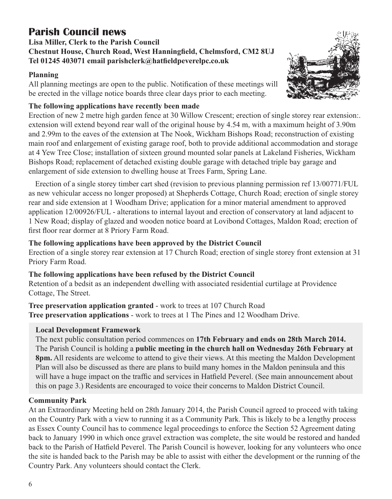## **Parish Council news**

#### **Lisa Miller, Clerk to the Parish Council Chestnut House, Church Road, West Hanningfield, Chelmsford, CM2 8UJ Tel 01245 403071 email parishclerk@hatfieldpeverelpc.co.uk**

#### **Planning**

All planning meetings are open to the public. Notification of these meetings will be erected in the village notice boards three clear days prior to each meeting.



#### **The following applications have recently been made**

Erection of new 2 metre high garden fence at 30 Willow Crescent; erection of single storey rear extension:. extension will extend beyond rear wall of the original house by 4.54 m, with a maximum height of 3.90m and 2.99m to the eaves of the extension at The Nook, Wickham Bishops Road; reconstruction of existing main roof and enlargement of existing garage roof, both to provide additional accommodation and storage at 4 Yew Tree Close; installation of sixteen ground mounted solar panels at Lakeland Fisheries, Wickham Bishops Road; replacement of detached existing double garage with detached triple bay garage and enlargement of side extension to dwelling house at Trees Farm, Spring Lane.

Erection of a single storey timber cart shed (revision to previous planning permission ref 13/00771/FUL as new vehicular access no longer proposed) at Shepherds Cottage, Church Road; erection of single storey rear and side extension at 1 Woodham Drive; application for a minor material amendment to approved application 12/00926/FUL - alterations to internal layout and erection of conservatory at land adjacent to 1 New Road; display of glazed and wooden notice board at Lovibond Cottages, Maldon Road; erection of first floor rear dormer at 8 Priory Farm Road.

#### **The following applications have been approved by the District Council**

Erection of a single storey rear extension at 17 Church Road; erection of single storey front extension at 31 Priory Farm Road.

#### **The following applications have been refused by the District Council**

Retention of a bedsit as an independent dwelling with associated residential curtilage at Providence Cottage, The Street.

**Tree preservation application granted** - work to trees at 107 Church Road **Tree preservation applications** - work to trees at 1 The Pines and 12 Woodham Drive.

#### **Local Development Framework**

The next public consultation period commences on **17th February and ends on 28th March 2014.** The Parish Council is holding a **public meeting in the church hall on Wednesday 26th February at 8pm.** All residents are welcome to attend to give their views. At this meeting the Maldon Development Plan will also be discussed as there are plans to build many homes in the Maldon peninsula and this will have a huge impact on the traffic and services in Hatfield Peverel. (See main announcement about this on page 3.) Residents are encouraged to voice their concerns to Maldon District Council.

#### **Community Park**

At an Extraordinary Meeting held on 28th January 2014, the Parish Council agreed to proceed with taking on the Country Park with a view to running it as a Community Park. This is likely to be a lengthy process as Essex County Council has to commence legal proceedings to enforce the Section 52 Agreement dating back to January 1990 in which once gravel extraction was complete, the site would be restored and handed back to the Parish of Hatfield Peverel. The Parish Council is however, looking for any volunteers who once the site is handed back to the Parish may be able to assist with either the development or the running of the Country Park. Any volunteers should contact the Clerk.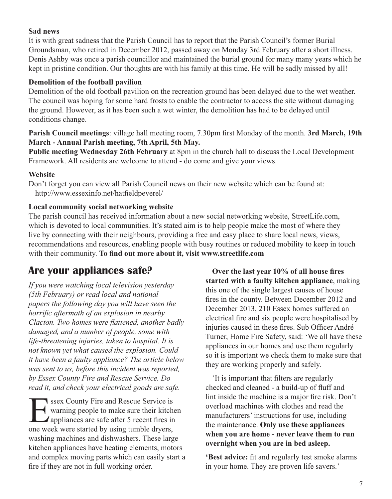#### **Sad news**

It is with great sadness that the Parish Council has to report that the Parish Council's former Burial Groundsman, who retired in December 2012, passed away on Monday 3rd February after a short illness. Denis Ashby was once a parish councillor and maintained the burial ground for many many years which he kept in pristine condition. Our thoughts are with his family at this time. He will be sadly missed by all!

#### **Demolition of the football pavilion**

Demolition of the old football pavilion on the recreation ground has been delayed due to the wet weather. The council was hoping for some hard frosts to enable the contractor to access the site without damaging the ground. However, as it has been such a wet winter, the demolition has had to be delayed until conditions change.

**Parish Council meetings**: village hall meeting room, 7.30pm first Monday of the month. **3rd March, 19th March - Annual Parish meeting, 7th April, 5th May.**

**Public meeting Wednesday 26th February** at 8pm in the church hall to discuss the Local Development Framework. All residents are welcome to attend - do come and give your views.

#### **Website**

Don't forget you can view all Parish Council news on their new website which can be found at: http://www.essexinfo.net/hatfieldpeverel/

#### **Local community social networking website**

The parish council has received information about a new social networking website, StreetLife.com, which is devoted to local communities. It's stated aim is to help people make the most of where they live by connecting with their neighbours, providing a free and easy place to share local news, views, recommendations and resources, enabling people with busy routines or reduced mobility to keep in touch with their community. **To find out more about it, visit www.streetlife.com**

## **Are your appliances safe?**

*If you were watching local television yesterday (5th February) or read local and national papers the following day you will have seen the horrific aftermath of an explosion in nearby Clacton. Two homes were flattened, another badly damaged, and a number of people, some with life-threatening injuries, taken to hospital. It is not known yet what caused the explosion. Could it have been a faulty appliance? The article below was sent to us, before this incident was reported, by Essex County Fire and Rescue Service. Do read it, and check your electrical goods are safe.*

Sex County Fire and Rescue Service is<br>warning people to make sure their kitchen<br>appliances are safe after 5 recent fires in<br>one week were started by using tumble dryers warning people to make sure their kitchen appliances are safe after 5 recent fires in one week were started by using tumble dryers, washing machines and dishwashers. These large kitchen appliances have heating elements, motors and complex moving parts which can easily start a fire if they are not in full working order.

**Over the last year 10% of all house fires started with a faulty kitchen appliance**, making this one of the single largest causes of house fires in the county. Between December 2012 and December 2013, 210 Essex homes suffered an electrical fire and six people were hospitalised by injuries caused in these fires. Sub Officer André Turner, Home Fire Safety, said: 'We all have these appliances in our homes and use them regularly so it is important we check them to make sure that they are working properly and safely.

'It is important that filters are regularly checked and cleaned - a build-up of fluff and lint inside the machine is a major fire risk. Don't overload machines with clothes and read the manufacturers' instructions for use, including the maintenance. **Only use these appliances when you are home - never leave them to run overnight when you are in bed asleep.**

**'Best advice:** fit and regularly test smoke alarms in your home. They are proven life savers.'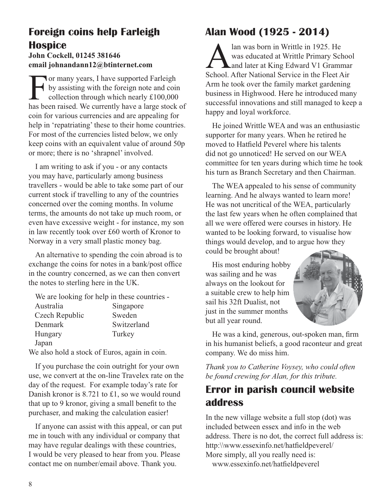## **Foreign coins help Farleigh Hospice**

#### **John Cockell, 01245 381646 email johnandann12@btinternet.com**

For many years, I have supported Farleigh<br>by assisting with the foreign note and coin<br>collection through which nearly £100,000<br>has been raised. We currently have a large stock by assisting with the foreign note and coin collection through which nearly £100,000 has been raised. We currently have a large stock of coin for various currencies and are appealing for help in 'repatriating' these to their home countries. For most of the currencies listed below, we only keep coins with an equivalent value of around 50p or more; there is no 'shrapnel' involved.

I am writing to ask if you - or any contacts you may have, particularly among business travellers - would be able to take some part of our current stock if travelling to any of the countries concerned over the coming months. In volume terms, the amounts do not take up much room, or even have excessive weight - for instance, my son in law recently took over £60 worth of Kronor to Norway in a very small plastic money bag.

An alternative to spending the coin abroad is to exchange the coins for notes in a bank/post office in the country concerned, as we can then convert the notes to sterling here in the UK.

We are looking for help in these countries -

| Australia      | Singapore   |
|----------------|-------------|
| Czech Republic | Sweden      |
| Denmark        | Switzerland |
| Hungary        | Turkey      |
| Japan          |             |

We also hold a stock of Euros, again in coin.

If you purchase the coin outright for your own use, we convert at the on-line Travelex rate on the day of the request. For example today's rate for Danish kronor is 8.721 to £1, so we would round that up to 9 kronor, giving a small benefit to the purchaser, and making the calculation easier!

If anyone can assist with this appeal, or can put me in touch with any individual or company that may have regular dealings with these countries, I would be very pleased to hear from you. Please contact me on number/email above. Thank you.

## **Alan Wood (1925 - 2014)**

Alan was born in Writtle in 1925. He<br>was educated at Writtle Primary School<br>School After National Service in the Fleet A was educated at Writtle Primary School and later at King Edward V1 Grammar School. After National Service in the Fleet Air Arm he took over the family market gardening business in Highwood. Here he introduced many successful innovations and still managed to keep a happy and loyal workforce.

He joined Writtle WEA and was an enthusiastic supporter for many years. When he retired he moved to Hatfield Peverel where his talents did not go unnoticed! He served on our WEA committee for ten years during which time he took his turn as Branch Secretary and then Chairman.

The WEA appealed to his sense of community learning. And he always wanted to learn more! He was not uncritical of the WEA, particularly the last few years when he often complained that all we were offered were courses in history. He wanted to be looking forward, to visualise how things would develop, and to argue how they could be brought about!

His most enduring hobby was sailing and he was always on the lookout for a suitable crew to help him sail his 32ft Dualist, not just in the summer months but all year round.



He was a kind, generous, out-spoken man, firm in his humanist beliefs, a good raconteur and great company. We do miss him.

*Thank you to Catherine Voysey, who could often be found crewing for Alan, for this tribute.*

## **Error in parish council website address**

In the new village website a full stop (dot) was included between essex and info in the web address. There is no dot, the correct full address is: http:\\www.essexinfo.net/hatfieldpeverel/ More simply, all you really need is: www.essexinfo.net/hatfieldpeverel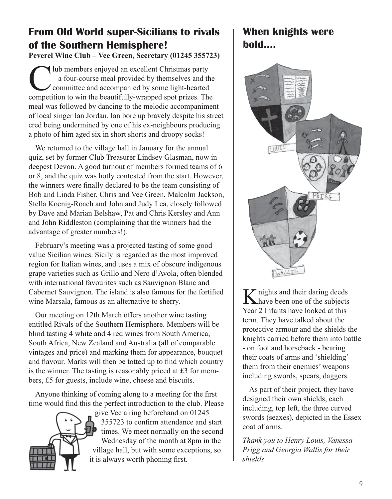## **From Old World super-Sicilians to rivals of the Southern Hemisphere!**

**Peverel Wine Club – Vee Green, Secretary (01245 355723)**

 $\bigcup$  lub members enjoyed an excellent Christmas party<br>  $-$  a four-course meal provided by themselves and the<br>
commettion to win the heautifully-wranned spot prizes. The – a four-course meal provided by themselves and the committee and accompanied by some light-hearted competition to win the beautifully-wrapped spot prizes. The meal was followed by dancing to the melodic accompaniment of local singer Ian Jordan. Ian bore up bravely despite his street cred being undermined by one of his ex-neighbours producing a photo of him aged six in short shorts and droopy socks!

We returned to the village hall in January for the annual quiz, set by former Club Treasurer Lindsey Glasman, now in deepest Devon. A good turnout of members formed teams of 6 or 8, and the quiz was hotly contested from the start. However, the winners were finally declared to be the team consisting of Bob and Linda Fisher, Chris and Vee Green, Malcolm Jackson, Stella Koenig-Roach and John and Judy Lea, closely followed by Dave and Marian Belshaw, Pat and Chris Kersley and Ann and John Riddleston (complaining that the winners had the advantage of greater numbers!).

February's meeting was a projected tasting of some good value Sicilian wines. Sicily is regarded as the most improved region for Italian wines, and uses a mix of obscure indigenous grape varieties such as Grillo and Nero d'Avola, often blended with international favourites such as Sauvignon Blanc and Cabernet Sauvignon. The island is also famous for the fortified wine Marsala, famous as an alternative to sherry.

Our meeting on 12th March offers another wine tasting entitled Rivals of the Southern Hemisphere. Members will be blind tasting 4 white and 4 red wines from South America, South Africa, New Zealand and Australia (all of comparable vintages and price) and marking them for appearance, bouquet and flavour. Marks will then be totted up to find which country is the winner. The tasting is reasonably priced at £3 for members, £5 for guests, include wine, cheese and biscuits.

Anyone thinking of coming along to a meeting for the first time would find this the perfect introduction to the club. Please



give Vee a ring beforehand on 01245 355723 to confirm attendance and start times. We meet normally on the second Wednesday of the month at 8pm in the village hall, but with some exceptions, so it is always worth phoning first.

## **When knights were bold....**



K nights and their daring deeds<br>have been one of the subjects Year 2 Infants have looked at this term. They have talked about the protective armour and the shields the knights carried before them into battle - on foot and horseback - bearing their coats of arms and 'shielding' them from their enemies' weapons including swords, spears, daggers.

As part of their project, they have designed their own shields, each including, top left, the three curved swords (seaxes), depicted in the Essex coat of arms.

*Thank you to Henry Louis, Vanessa Prigg and Georgia Wallis for their shields*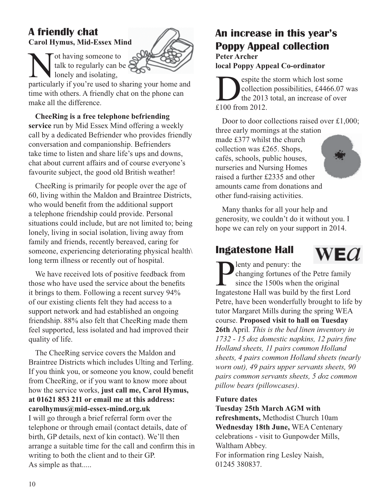## **A friendly chat**

**Carol Hymus, Mid-Essex Mind**

I onely and isolating,

talk to regularly can be

Not having someone to<br>talk to regularly can b<br>lonely and isolating,<br>particularly if you're used to s particularly if you're used to sharing your home and time with others. A friendly chat on the phone can make all the difference.

**CheeRing is a free telephone befriending service** run by Mid Essex Mind offering a weekly call by a dedicated Befriender who provides friendly conversation and companionship. Befrienders take time to listen and share life's ups and downs, chat about current affairs and of course everyone's favourite subject, the good old British weather!

CheeRing is primarily for people over the age of 60, living within the Maldon and Braintree Districts, who would benefit from the additional support a telephone friendship could provide. Personal situations could include, but are not limited to; being lonely, living in social isolation, living away from family and friends, recently bereaved, caring for someone, experiencing deteriorating physical health long term illness or recently out of hospital.

We have received lots of positive feedback from those who have used the service about the benefits it brings to them. Following a recent survey 94% of our existing clients felt they had access to a support network and had established an ongoing friendship. 88% also felt that CheeRing made them feel supported, less isolated and had improved their quality of life.

The CheeRing service covers the Maldon and Braintree Districts which includes Ulting and Terling. If you think you, or someone you know, could benefit from CheeRing, or if you want to know more about how the service works, **just call me, Carol Hymus, at 01621 853 211 or email me at this address: carolhymus@mid-essex-mind.org.uk**  I will go through a brief referral form over the telephone or through email (contact details, date of birth, GP details, next of kin contact). We'll then arrange a suitable time for the call and confirm this in writing to both the client and to their GP. As simple as that.....

## **An increase in this year's Poppy Appeal collection**

**Peter Archer local Poppy Appeal Co-ordinator**

Sollection possibilities, £4466.07<br>the 2013 total, an increase of over<br>f 100 from 2012 collection possibilities, £4466.07 was the 2013 total, an increase of over £100 from 2012.

Door to door collections raised over £1,000; three early mornings at the station made £377 whilst the church collection was £265. Shops, cafés, schools, public houses, nurseries and Nursing Homes raised a further £2335 and other amounts came from donations and other fund-raising activities.

Many thanks for all your help and generosity, we couldn't do it without you. I hope we can rely on your support in 2014.

## **Ingatestone Hall**



**P** enty and penury: the<br>changing fortunes of t<br>since the 1500s when<br>Ingatestone Hall was build b changing fortunes of the Petre family since the 1500s when the original Ingatestone Hall was build by the first Lord Petre, have been wonderfully brought to life by tutor Margaret Mills during the spring WEA course. **Proposed visit to hall on Tuesday 26th** April*. This is the bed linen inventory in 1732 - 15 doz domestic napkins, 12 pairs fine Holland sheets, 11 pairs common Holland sheets, 4 pairs common Holland sheets (nearly worn out), 49 pairs upper servants sheets, 90 pairs common servants sheets, 5 doz common pillow bears (pillowcases)*.

#### **Future dates**

**Tuesday 25th March AGM with refreshments,** Methodist Church 10am **Wednesday 18th June,** WEA Centenary celebrations - visit to Gunpowder Mills, Waltham Abbey. For information ring Lesley Naish, 01245 380837.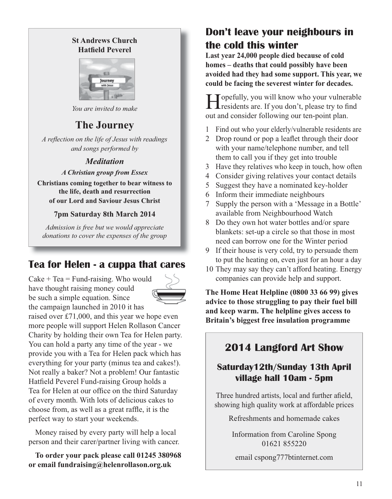#### **St Andrews Church Hatfield Peverel**



*You are invited to make*

## **The Journey**

*A reflection on the life of Jesus with readings and songs performed by*

#### *Meditation*

#### *A Christian group from Essex*

**Christians coming together to bear witness to the life, death and resurrection of our Lord and Saviour Jesus Christ**

#### **7pm Saturday 8th March 2014**

*Admission is free but we would appreciate donations to cover the expenses of the group*

## **Tea for Helen - a cuppa that cares**

 $\text{Cake} + \text{Tea} = \text{Fund-raising}$ . Who would have thought raising money could be such a simple equation. Since the campaign launched in 2010 it has



raised over £71,000, and this year we hope even more people will support Helen Rollason Cancer Charity by holding their own Tea for Helen party. You can hold a party any time of the year - we provide you with a Tea for Helen pack which has everything for your party (minus tea and cakes!). Not really a baker? Not a problem! Our fantastic Hatfield Peverel Fund-raising Group holds a Tea for Helen at our office on the third Saturday of every month. With lots of delicious cakes to choose from, as well as a great raffle, it is the perfect way to start your weekends.

Money raised by every party will help a local person and their carer/partner living with cancer.

**To order your pack please call 01245 380968 or email fundraising@helenrollason.org.uk**

## **Don't leave your neighbours in the cold this winter**

**Last year 24,000 people died because of cold homes – deaths that could possibly have been avoided had they had some support. This year, we could be facing the severest winter for decades.**

Topefully, you will know who your vulnerable **T** residents are. If you don't, please try to find out and consider following our ten-point plan.

- 1 Find out who your elderly/vulnerable residents are
- 2 Drop round or pop a leaflet through their door with your name/telephone number, and tell them to call you if they get into trouble
- 3 Have they relatives who keep in touch, how often
- 4 Consider giving relatives your contact details
- 5 Suggest they have a nominated key-holder
- 6 Inform their immediate neighbours
- 7 Supply the person with a 'Message in a Bottle' available from Neighbourhood Watch
- 8 Do they own hot water bottles and/or spare blankets: set-up a circle so that those in most need can borrow one for the Winter period
- 9 If their house is very cold, try to persuade them to put the heating on, even just for an hour a day
- 10 They may say they can't afford heating. Energy companies can provide help and support.

**The Home Heat Helpline (0800 33 66 99) gives advice to those struggling to pay their fuel bill and keep warm. The helpline gives access to Britain's biggest free insulation programme**

## **2014 Langford Art Show**

## **Saturday12th/Sunday 13th April village hall 10am - 5pm**

Three hundred artists, local and further afield, showing high quality work at affordable prices

Refreshments and homemade cakes

Information from Caroline Spong 01621 855220

email cspong777btinternet.com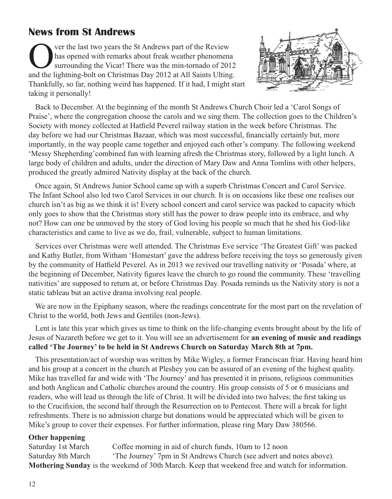## **News from St Andrews**

Over the last two years the St Andrews part of the Review<br>has opened with remarks about freak weather phenomena<br>surrounding the Vicar! There was the min-tornado of 201<br>and the lightning-holt on Christmas Day 2012 at All Sa has opened with remarks about freak weather phenomena surrounding the Vicar! There was the min-tornado of 2012 and the lightning-bolt on Christmas Day 2012 at All Saints Ulting. Thankfully, so far, nothing weird has happened. If it had, I might start taking it personally!



Back to December. At the beginning of the month St Andrews Church Choir led a 'Carol Songs of Praise', where the congregation choose the carols and we sing them. The collection goes to the Children's Society with money collected at Hatfield Peverel railway station in the week before Christmas. The day before we had our Christmas Bazaar, which was most successful, financially certainly but, more importantly, in the way people came together and enjoyed each other's company. The following weekend 'Messy Shepherding'combined fun with learning afresh the Christmas story, followed by a light lunch. A large body of children and adults, under the direction of Mary Daw and Anna Tomlins with other helpers, produced the greatly admired Nativity display at the back of the church.

Once again, St Andrews Junior School came up with a superb Christmas Concert and Carol Service. The Infant School also led two Carol Services in our church. It is on occasions like these one realises our church isn't as big as we think it is! Every school concert and carol service was packed to capacity which only goes to show that the Christmas story still has the power to draw people into its embrace, and why not? How can one be unmoved by the story of God loving his people so much that he shed his God-like characteristics and came to live as we do, frail, vulnerable, subject to human limitations.

Services over Christmas were well attended. The Christmas Eve service 'The Greatest Gift' was packed and Kathy Butler, from Witham 'Homestart' gave the address before receiving the toys so generously given by the community of Hatfield Peverel. As in 2013 we revived our travelling nativity or 'Posada' where, at the beginning of December, Nativity figures leave the church to go round the community. These 'travelling nativities' are supposed to return at, or before Christmas Day. Posada reminds us the Nativity story is not a static tableau but an active drama involving real people.

We are now in the Epiphany season, where the readings concentrate for the most part on the revelation of Christ to the world, both Jews and Gentiles (non-Jews).

Lent is late this year which gives us time to think on the life-changing events brought about by the life of Jesus of Nazareth before we get to it. You will see an advertisement for **an evening of music and readings called 'The Journey' to be held in St Andrews Church on Saturday March 8th at 7pm.** 

This presentation/act of worship was written by Mike Wigley, a former Franciscan friar. Having heard him and his group at a concert in the church at Pleshey you can be assured of an evening of the highest quality. Mike has travelled far and wide with 'The Journey' and has presented it in prisons, religious communities and both Anglican and Catholic churches around the country. His group consists of 5 or 6 musicians and readers, who will lead us through the life of Christ. It will be divided into two halves; the first taking us to the Crucifixion, the second half through the Resurrection on to Pentecost. There will a break for light refreshments. There is no admission charge but donations would be appreciated which will be given to Mike's group to cover their expenses. For further information, please ring Mary Daw 380566.

#### **Other happening**

Saturday 1st March Coffee morning in aid of church funds, 10am to 12 noon Saturday 8th March 'The Journey' 7pm in St Andrews Church (see advert and notes above). **Mothering Sunday** is the weekend of 30th March. Keep that weekend free and watch for information.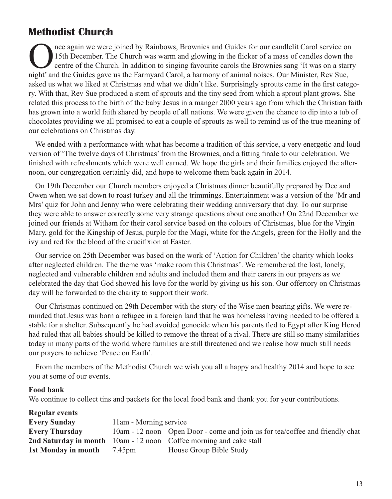## **Methodist Church**

Once again we were joined by Rainbows, Brownies and Guides for our candlelit Carol service on<br>
15th December. The Church was warm and glowing in the flicker of a mass of candles down the<br>
centre of the Church. In addition 15th December. The Church was warm and glowing in the flicker of a mass of candles down the centre of the Church. In addition to singing favourite carols the Brownies sang 'It was on a starry night' and the Guides gave us the Farmyard Carol, a harmony of animal noises. Our Minister, Rev Sue, asked us what we liked at Christmas and what we didn't like. Surprisingly sprouts came in the first category. With that, Rev Sue produced a stem of sprouts and the tiny seed from which a sprout plant grows. She related this process to the birth of the baby Jesus in a manger 2000 years ago from which the Christian faith has grown into a world faith shared by people of all nations. We were given the chance to dip into a tub of chocolates providing we all promised to eat a couple of sprouts as well to remind us of the true meaning of our celebrations on Christmas day.

We ended with a performance with what has become a tradition of this service, a very energetic and loud version of 'The twelve days of Christmas' from the Brownies, and a fitting finale to our celebration. We finished with refreshments which were well earned. We hope the girls and their families enjoyed the afternoon, our congregation certainly did, and hope to welcome them back again in 2014.

On 19th December our Church members enjoyed a Christmas dinner beautifully prepared by Dee and Owen when we sat down to roast turkey and all the trimmings. Entertainment was a version of the 'Mr and Mrs' quiz for John and Jenny who were celebrating their wedding anniversary that day. To our surprise they were able to answer correctly some very strange questions about one another! On 22nd December we joined our friends at Witham for their carol service based on the colours of Christmas, blue for the Virgin Mary, gold for the Kingship of Jesus, purple for the Magi, white for the Angels, green for the Holly and the ivy and red for the blood of the crucifixion at Easter.

Our service on 25th December was based on the work of 'Action for Children' the charity which looks after neglected children. The theme was 'make room this Christmas'. We remembered the lost, lonely, neglected and vulnerable children and adults and included them and their carers in our prayers as we celebrated the day that God showed his love for the world by giving us his son. Our offertory on Christmas day will be forwarded to the charity to support their work.

Our Christmas continued on 29th December with the story of the Wise men bearing gifts. We were reminded that Jesus was born a refugee in a foreign land that he was homeless having needed to be offered a stable for a shelter. Subsequently he had avoided genocide when his parents fled to Egypt after King Herod had ruled that all babies should be killed to remove the threat of a rival. There are still so many similarities today in many parts of the world where families are still threatened and we realise how much still needs our prayers to achieve 'Peace on Earth'.

From the members of the Methodist Church we wish you all a happy and healthy 2014 and hope to see you at some of our events.

#### **Food bank**

We continue to collect tins and packets for the local food bank and thank you for your contributions.

| <b>Regular events</b> |                        |                                                                              |
|-----------------------|------------------------|------------------------------------------------------------------------------|
| <b>Every Sunday</b>   | 11am - Morning service |                                                                              |
| Every Thursday        |                        | 10am - 12 noon Open Door - come and join us for tea/coffee and friendly chat |
|                       |                        | <b>2nd Saturday in month</b> 10am - 12 noon Coffee morning and cake stall    |
| 1st Monday in month   | 7.45pm                 | House Group Bible Study                                                      |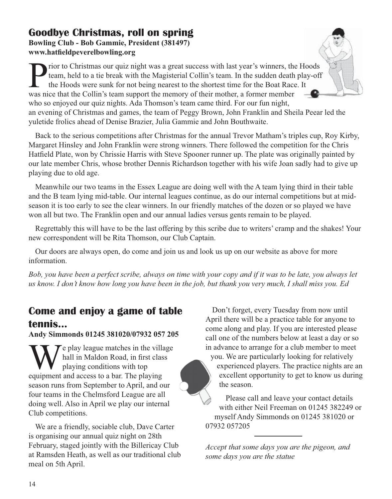## **Goodbye Christmas, roll on spring Bowling Club - Bob Gammie, President (381497)**

**www.hatfieldpeverelbowling.org**

rior to Christmas our quiz night was a great success with last year's winners, the Hoods team, held to a tie break with the Magisterial Collin's team. In the sudden death play-off the Hoods were sunk for not being nearest to the shortest time for the Boat Race. It was nice that the Collin's team support the memory of their mother, a former member who so enjoyed our quiz nights. Ada Thomson's team came third. For our fun night, an evening of Christmas and games, the team of Peggy Brown, John Franklin and Sheila Peear led the yuletide frolics ahead of Denise Brazier, Julia Gammie and John Bouthwaite.

Back to the serious competitions after Christmas for the annual Trevor Matham's triples cup, Roy Kirby, Margaret Hinsley and John Franklin were strong winners. There followed the competition for the Chris Hatfield Plate, won by Chrissie Harris with Steve Spooner runner up. The plate was originally painted by our late member Chris, whose brother Dennis Richardson together with his wife Joan sadly had to give up playing due to old age.

Meanwhile our two teams in the Essex League are doing well with the A team lying third in their table and the B team lying mid-table. Our internal leagues continue, as do our internal competitions but at midseason it is too early to see the clear winners. In our friendly matches of the dozen or so played we have won all but two. The Franklin open and our annual ladies versus gents remain to be played.

Regrettably this will have to be the last offering by this scribe due to writers' cramp and the shakes! Your new correspondent will be Rita Thomson, our Club Captain.

Our doors are always open, do come and join us and look us up on our website as above for more information.

*Bob, you have been a perfect scribe, always on time with your copy and if it was to be late, you always let us know. I don't know how long you have been in the job, but thank you very much, I shall miss you. Ed* 

## **Come and enjoy a game of table tennis...**

#### **Andy Simmonds 01245 381020/07932 057 205**

 $\tau$ e play league matches in the village hall in Maldon Road, in first class playing conditions with top equipment and access to a bar. The playing season runs from September to April, and our four teams in the Chelmsford League are all doing well. Also in April we play our internal Club competitions.

We are a friendly, sociable club, Dave Carter is organising our annual quiz night on 28th February, staged jointly with the Billericay Club at Ramsden Heath, as well as our traditional club meal on 5th April.

Don't forget, every Tuesday from now until April there will be a practice table for anyone to come along and play. If you are interested please call one of the numbers below at least a day or so in advance to arrange for a club member to meet

you. We are particularly looking for relatively experienced players. The practice nights are an excellent opportunity to get to know us during the season.

Please call and leave your contact details with either Neil Freeman on 01245 382249 or myself Andy Simmonds on 01245 381020 or 07932 057205

*Accept that some days you are the pigeon, and some days you are the statue*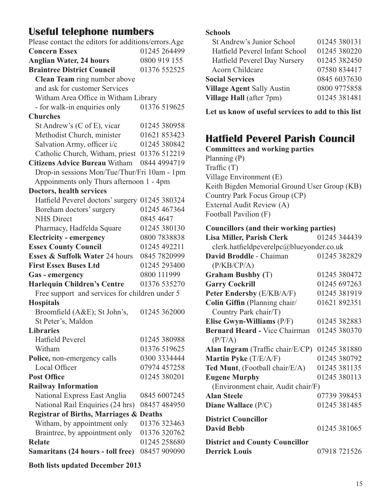## **Useful telephone numbers**

| Please contact the editors for additions/errors.Age |              |  |  |  |
|-----------------------------------------------------|--------------|--|--|--|
| <b>Concern Essex</b>                                | 01245 264499 |  |  |  |
| <b>Anglian Water, 24 hours</b>                      | 0800 919 155 |  |  |  |
| <b>Braintree District Council</b>                   | 01376 552525 |  |  |  |
| Clean Team ring number above                        |              |  |  |  |
| and ask for customer Services                       |              |  |  |  |
| Witham Area Office in Witham Library                |              |  |  |  |
| - for walk-in enquiries only                        | 01376 519625 |  |  |  |
| <b>Churches</b>                                     |              |  |  |  |
| St Andrew's (C of E), vicar                         | 01245 380958 |  |  |  |
| Methodist Church, minister                          | 01621 853423 |  |  |  |
| Salvation Army, officer i/c                         | 01245 380842 |  |  |  |
| Catholic Church, Witham, priest 01376 512219        |              |  |  |  |
| Citizens Advice Bureau Witham 0844 4994719          |              |  |  |  |
| Drop-in sessions Mon/Tue/Thur/Fri 10am - 1pm        |              |  |  |  |
| Appoinments only Thurs afternoon 1 - 4pm            |              |  |  |  |
| Doctors, health services                            |              |  |  |  |
| Hatfield Peverel doctors' surgery 01245 380324      |              |  |  |  |
| Boreham doctors' surgery                            | 01245 467364 |  |  |  |
| <b>NHS Direct</b>                                   | 0845 4647    |  |  |  |
| Pharmacy, Hadfelda Square                           | 01245 380130 |  |  |  |
| <b>Electricity - emergency</b>                      | 0800 7838838 |  |  |  |
| <b>Essex County Council</b>                         | 01245 492211 |  |  |  |
| Essex & Suffolk Water 24 hours                      | 0845 7820999 |  |  |  |
| <b>First Essex Buses Ltd</b>                        | 01245 293400 |  |  |  |
| Gas - emergency                                     | 0800 111999  |  |  |  |
| <b>Harlequin Children's Centre</b>                  | 01376 535270 |  |  |  |
| Free support and services for children under 5      |              |  |  |  |
| <b>Hospitals</b>                                    |              |  |  |  |
| Broomfield (A&E); St John's,                        | 01245 362000 |  |  |  |
| St Peter's, Maldon                                  |              |  |  |  |
| <b>Libraries</b>                                    |              |  |  |  |
| <b>Hatfield Peverel</b>                             | 01245 380988 |  |  |  |
| Witham                                              | 01376 519625 |  |  |  |
| Police, non-emergency calls                         | 0300 3334444 |  |  |  |
| Local Officer                                       | 07974 457258 |  |  |  |
| <b>Post Office</b>                                  | 01245 380201 |  |  |  |
| <b>Railway Information</b>                          |              |  |  |  |
| National Express East Anglia                        | 0845 6007245 |  |  |  |
| National Rail Enquiries (24 hrs)                    | 08457 484950 |  |  |  |
| Registrar of Births, Marriages & Deaths             |              |  |  |  |
| Witham, by appointment only                         | 01376 323463 |  |  |  |
| Braintree, by appointment only                      | 01376 320762 |  |  |  |
| <b>Relate</b>                                       | 01245 258680 |  |  |  |
| Samaritans (24 hours - toll free)                   | 08457 909090 |  |  |  |
| <b>Both lists updated December 2013</b>             |              |  |  |  |

#### **Schools**

| St Andrew's Junior School         | 01245 380131 |
|-----------------------------------|--------------|
| Hatfield Peverel Infant School    | 01245 380220 |
| Hatfield Peverel Day Nursery      | 01245 382450 |
| Acorn Childcare                   | 07580 834417 |
| <b>Social Services</b>            | 0845 6037630 |
| <b>Village Agent Sally Austin</b> | 0800 9775858 |
| Village Hall (after 7pm)          | 01245 381481 |
|                                   |              |

**Let us know of useful services to add to this list**

## **Hatfield Peverel Parish Council**

**Committees and working parties** Planning (P) Traffic (T) Village Environment (E) Keith Bigden Memorial Ground User Group (KB) Country Park Focus Group (CP) External Audit Review (A) Football Pavilion (F)

#### **Councillors (and their working parties)**

| <b>Lisa Miller, Parish Clerk</b>         | 01245 344439 |  |  |  |
|------------------------------------------|--------------|--|--|--|
| clerk.hatfieldpeverelpc@blueyonder.co.uk |              |  |  |  |
| David Broddle - Chaiman                  | 01245 382829 |  |  |  |
| (P/KB/CP/A)                              |              |  |  |  |
| <b>Graham Bushby (T)</b>                 | 01245 380472 |  |  |  |
| <b>Garry Cockrill</b>                    | 01245 697263 |  |  |  |
| <b>Peter Endersby</b> (E/KB/A/F)         | 01245 381919 |  |  |  |
| Colin Giffin (Planning chair/            | 01621 892351 |  |  |  |
| Country Park chair/T)                    |              |  |  |  |
| Elise Gwyn-Williams (P/F)                | 01245 382883 |  |  |  |
| <b>Bernard Heard - Vice Chairman</b>     | 01245 380370 |  |  |  |
| (P/T/A)                                  |              |  |  |  |
| Alan Ingram (Traffic chair/E/CP)         | 01245 381880 |  |  |  |
| Martin Pyke (T/E/A/F)                    | 01245 380792 |  |  |  |
| Ted Munt, (Football chair/E/A)           | 01245 381135 |  |  |  |
| <b>Eugene Murphy</b>                     | 01245 380113 |  |  |  |
| (Environment chair, Audit chair/F)       |              |  |  |  |
| <b>Alan Steele</b>                       | 07739 398453 |  |  |  |
| Diane Wallace (P/C)                      | 01245 381485 |  |  |  |
| <b>District Councillor</b>               |              |  |  |  |
| <b>David Bebb</b>                        | 01245 381065 |  |  |  |
| <b>District and County Councillor</b>    |              |  |  |  |
| <b>Derrick Louis</b>                     | 07918 721526 |  |  |  |